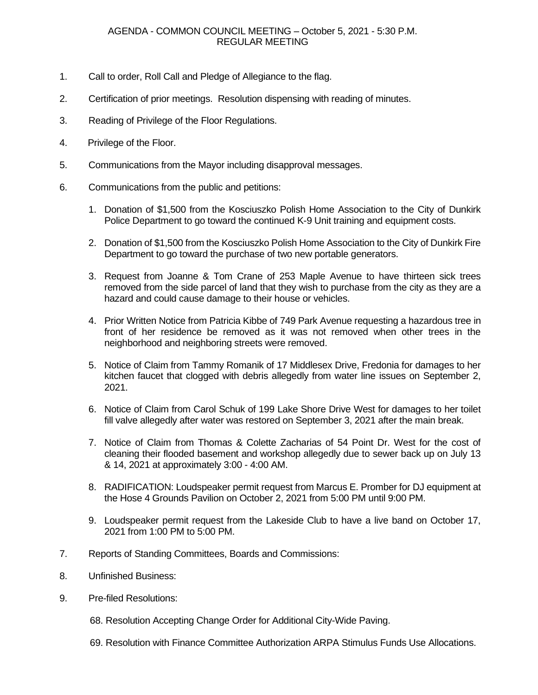## AGENDA - COMMON COUNCIL MEETING – October 5, 2021 - 5:30 P.M. REGULAR MEETING

- 1. Call to order, Roll Call and Pledge of Allegiance to the flag.
- 2. Certification of prior meetings. Resolution dispensing with reading of minutes.
- 3. Reading of Privilege of the Floor Regulations.
- 4. Privilege of the Floor.
- 5. Communications from the Mayor including disapproval messages.
- 6. Communications from the public and petitions:
	- 1. Donation of \$1,500 from the Kosciuszko Polish Home Association to the City of Dunkirk Police Department to go toward the continued K-9 Unit training and equipment costs.
	- 2. Donation of \$1,500 from the Kosciuszko Polish Home Association to the City of Dunkirk Fire Department to go toward the purchase of two new portable generators.
	- 3. Request from Joanne & Tom Crane of 253 Maple Avenue to have thirteen sick trees removed from the side parcel of land that they wish to purchase from the city as they are a hazard and could cause damage to their house or vehicles.
	- 4. Prior Written Notice from Patricia Kibbe of 749 Park Avenue requesting a hazardous tree in front of her residence be removed as it was not removed when other trees in the neighborhood and neighboring streets were removed.
	- 5. Notice of Claim from Tammy Romanik of 17 Middlesex Drive, Fredonia for damages to her kitchen faucet that clogged with debris allegedly from water line issues on September 2, 2021.
	- 6. Notice of Claim from Carol Schuk of 199 Lake Shore Drive West for damages to her toilet fill valve allegedly after water was restored on September 3, 2021 after the main break.
	- 7. Notice of Claim from Thomas & Colette Zacharias of 54 Point Dr. West for the cost of cleaning their flooded basement and workshop allegedly due to sewer back up on July 13 & 14, 2021 at approximately 3:00 - 4:00 AM.
	- 8. RADIFICATION: Loudspeaker permit request from Marcus E. Promber for DJ equipment at the Hose 4 Grounds Pavilion on October 2, 2021 from 5:00 PM until 9:00 PM.
	- 9. Loudspeaker permit request from the Lakeside Club to have a live band on October 17, 2021 from 1:00 PM to 5:00 PM.
- 7. Reports of Standing Committees, Boards and Commissions:
- 8. Unfinished Business:
- 9. Pre-filed Resolutions:
	- 68. Resolution Accepting Change Order for Additional City-Wide Paving.
	- 69. Resolution with Finance Committee Authorization ARPA Stimulus Funds Use Allocations.